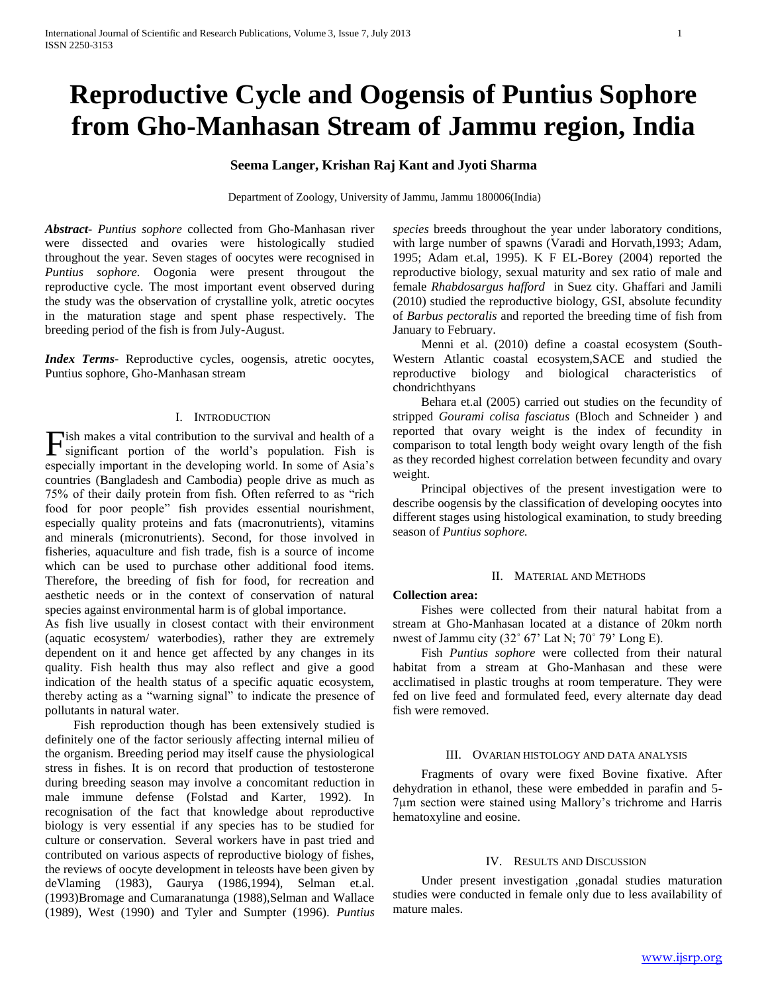# **Reproductive Cycle and Oogensis of Puntius Sophore from Gho-Manhasan Stream of Jammu region, India**

## **Seema Langer, Krishan Raj Kant and Jyoti Sharma**

Department of Zoology, University of Jammu, Jammu 180006(India)

*Abstract***-** *Puntius sophore* collected from Gho-Manhasan river were dissected and ovaries were histologically studied throughout the year. Seven stages of oocytes were recognised in *Puntius sophore.* Oogonia were present througout the reproductive cycle. The most important event observed during the study was the observation of crystalline yolk, atretic oocytes in the maturation stage and spent phase respectively. The breeding period of the fish is from July-August.

*Index Terms*- Reproductive cycles, oogensis, atretic oocytes, Puntius sophore, Gho-Manhasan stream

#### I. INTRODUCTION

ish makes a vital contribution to the survival and health of a Fish makes a vital contribution to the survival and health of a significant portion of the world's population. Fish is especially important in the developing world. In some of Asia's countries (Bangladesh and Cambodia) people drive as much as 75% of their daily protein from fish. Often referred to as "rich food for poor people" fish provides essential nourishment, especially quality proteins and fats (macronutrients), vitamins and minerals (micronutrients). Second, for those involved in fisheries, aquaculture and fish trade, fish is a source of income which can be used to purchase other additional food items. Therefore, the breeding of fish for food, for recreation and aesthetic needs or in the context of conservation of natural species against environmental harm is of global importance.

As fish live usually in closest contact with their environment (aquatic ecosystem/ waterbodies), rather they are extremely dependent on it and hence get affected by any changes in its quality. Fish health thus may also reflect and give a good indication of the health status of a specific aquatic ecosystem, thereby acting as a "warning signal" to indicate the presence of pollutants in natural water.

 Fish reproduction though has been extensively studied is definitely one of the factor seriously affecting internal milieu of the organism. Breeding period may itself cause the physiological stress in fishes. It is on record that production of testosterone during breeding season may involve a concomitant reduction in male immune defense (Folstad and Karter, 1992). In recognisation of the fact that knowledge about reproductive biology is very essential if any species has to be studied for culture or conservation. Several workers have in past tried and contributed on various aspects of reproductive biology of fishes, the reviews of oocyte development in teleosts have been given by deVlaming (1983), Gaurya (1986,1994), Selman et.al. (1993)Bromage and Cumaranatunga (1988),Selman and Wallace (1989), West (1990) and Tyler and Sumpter (1996). *Puntius* 

*species* breeds throughout the year under laboratory conditions, with large number of spawns (Varadi and Horvath,1993; Adam, 1995; Adam et.al, 1995). K F EL-Borey (2004) reported the reproductive biology, sexual maturity and sex ratio of male and female *Rhabdosargus hafford* in Suez city. Ghaffari and Jamili (2010) studied the reproductive biology, GSI, absolute fecundity of *Barbus pectoralis* and reported the breeding time of fish from January to February.

 Menni et al. (2010) define a coastal ecosystem (South-Western Atlantic coastal ecosystem,SACE and studied the reproductive biology and biological characteristics of chondrichthyans

 Behara et.al (2005) carried out studies on the fecundity of stripped *Gourami colisa fasciatus* (Bloch and Schneider ) and reported that ovary weight is the index of fecundity in comparison to total length body weight ovary length of the fish as they recorded highest correlation between fecundity and ovary weight.

 Principal objectives of the present investigation were to describe oogensis by the classification of developing oocytes into different stages using histological examination, to study breeding season of *Puntius sophore.*

#### II. MATERIAL AND METHODS

### **Collection area:**

 Fishes were collected from their natural habitat from a stream at Gho-Manhasan located at a distance of 20km north nwest of Jammu city (32˚ 67' Lat N; 70˚ 79' Long E).

 Fish *Puntius sophore* were collected from their natural habitat from a stream at Gho-Manhasan and these were acclimatised in plastic troughs at room temperature. They were fed on live feed and formulated feed, every alternate day dead fish were removed.

#### III. OVARIAN HISTOLOGY AND DATA ANALYSIS

 Fragments of ovary were fixed Bovine fixative. After dehydration in ethanol, these were embedded in parafin and 5- 7µm section were stained using Mallory's trichrome and Harris hematoxyline and eosine.

#### IV. RESULTS AND DISCUSSION

 Under present investigation ,gonadal studies maturation studies were conducted in female only due to less availability of mature males.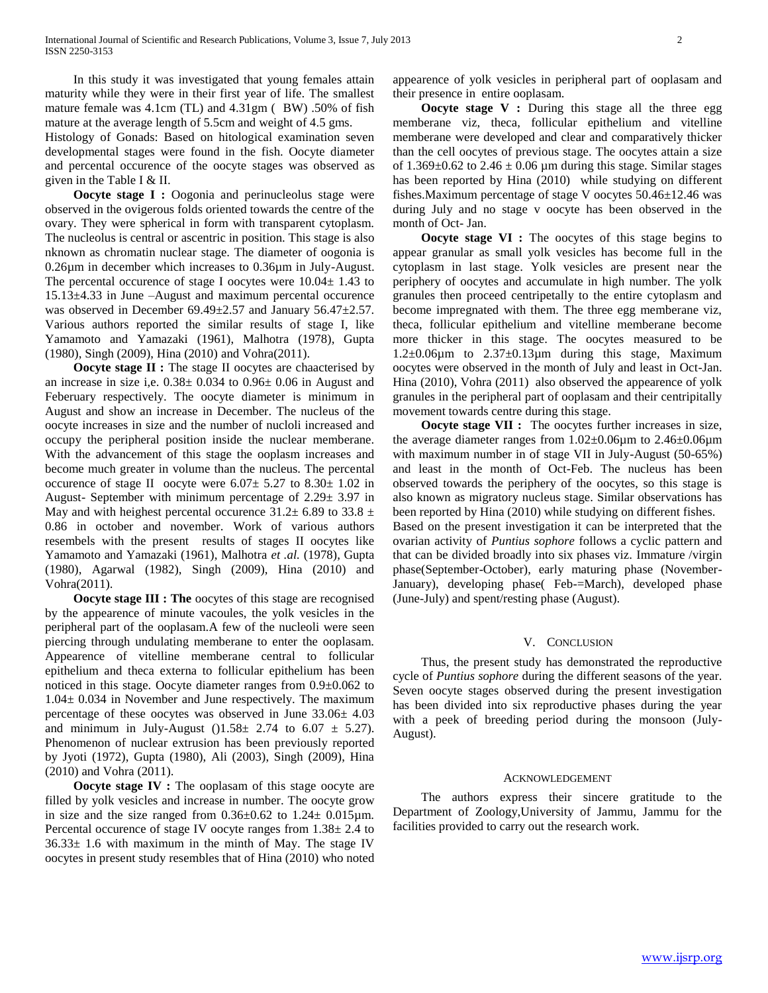In this study it was investigated that young females attain maturity while they were in their first year of life. The smallest mature female was 4.1cm (TL) and 4.31gm ( BW) .50% of fish mature at the average length of 5.5cm and weight of 4.5 gms. Histology of Gonads: Based on hitological examination seven developmental stages were found in the fish. Oocyte diameter and percental occurence of the oocyte stages was observed as given in the Table I & II.

**Oocyte stage I :** Oogonia and perinucleolus stage were observed in the ovigerous folds oriented towards the centre of the ovary. They were spherical in form with transparent cytoplasm. The nucleolus is central or ascentric in position. This stage is also nknown as chromatin nuclear stage. The diameter of oogonia is 0.26µm in december which increases to 0.36µm in July-August. The percental occurence of stage I oocytes were 10.04± 1.43 to 15.13±4.33 in June –August and maximum percental occurence was observed in December 69.49±2.57 and January 56.47±2.57. Various authors reported the similar results of stage I, like Yamamoto and Yamazaki (1961), Malhotra (1978), Gupta (1980), Singh (2009), Hina (2010) and Vohra(2011).

**Oocyte stage II :** The stage II oocytes are chaacterised by an increase in size i,e. 0.38± 0.034 to 0.96± 0.06 in August and Feberuary respectively. The oocyte diameter is minimum in August and show an increase in December. The nucleus of the oocyte increases in size and the number of nucloli increased and occupy the peripheral position inside the nuclear memberane. With the advancement of this stage the ooplasm increases and become much greater in volume than the nucleus. The percental occurence of stage II oocyte were  $6.07 \pm 5.27$  to  $8.30 \pm 1.02$  in August- September with minimum percentage of 2.29± 3.97 in May and with heighest percental occurence  $31.2 \pm 6.89$  to  $33.8 \pm 1.2$ 0.86 in october and november. Work of various authors resembels with the present results of stages II oocytes like Yamamoto and Yamazaki (1961), Malhotra *et .al.* (1978), Gupta (1980), Agarwal (1982), Singh (2009), Hina (2010) and Vohra(2011).

**Oocyte stage III : The** oocytes of this stage are recognised by the appearence of minute vacoules, the yolk vesicles in the peripheral part of the ooplasam.A few of the nucleoli were seen piercing through undulating memberane to enter the ooplasam. Appearence of vitelline memberane central to follicular epithelium and theca externa to follicular epithelium has been noticed in this stage. Oocyte diameter ranges from 0.9±0.062 to 1.04± 0.034 in November and June respectively. The maximum percentage of these oocytes was observed in June 33.06± 4.03 and minimum in July-August  $( )1.58 \pm 2.74$  to  $6.07 \pm 5.27$ . Phenomenon of nuclear extrusion has been previously reported by Jyoti (1972), Gupta (1980), Ali (2003), Singh (2009), Hina (2010) and Vohra (2011).

**Oocyte stage IV :** The ooplasam of this stage oocyte are filled by yolk vesicles and increase in number. The oocyte grow in size and the size ranged from  $0.36\pm0.62$  to  $1.24\pm 0.015$ µm. Percental occurence of stage IV oocyte ranges from 1.38± 2.4 to  $36.33±1.6$  with maximum in the minth of May. The stage IV oocytes in present study resembles that of Hina (2010) who noted appearence of yolk vesicles in peripheral part of ooplasam and their presence in entire ooplasam.

**Oocyte stage V :** During this stage all the three egg memberane viz, theca, follicular epithelium and vitelline memberane were developed and clear and comparatively thicker than the cell oocytes of previous stage. The oocytes attain a size of  $1.369\pm0.62$  to  $2.46\pm0.06$  µm during this stage. Similar stages has been reported by Hina (2010) while studying on different fishes.Maximum percentage of stage V oocytes 50.46±12.46 was during July and no stage v oocyte has been observed in the month of Oct- Jan.

**Oocyte stage VI :** The oocytes of this stage begins to appear granular as small yolk vesicles has become full in the cytoplasm in last stage. Yolk vesicles are present near the periphery of oocytes and accumulate in high number. The yolk granules then proceed centripetally to the entire cytoplasm and become impregnated with them. The three egg memberane viz, theca, follicular epithelium and vitelline memberane become more thicker in this stage. The oocytes measured to be  $1.2\pm0.06\mu$ m to  $2.37\pm0.13\mu$ m during this stage, Maximum oocytes were observed in the month of July and least in Oct-Jan. Hina (2010), Vohra (2011) also observed the appearence of yolk granules in the peripheral part of ooplasam and their centripitally movement towards centre during this stage.

**Oocyte stage VII :** The oocytes further increases in size, the average diameter ranges from  $1.02\pm0.06\mu$ m to  $2.46\pm0.06\mu$ m with maximum number in of stage VII in July-August (50-65%) and least in the month of Oct-Feb. The nucleus has been observed towards the periphery of the oocytes, so this stage is also known as migratory nucleus stage. Similar observations has been reported by Hina (2010) while studying on different fishes. Based on the present investigation it can be interpreted that the ovarian activity of *Puntius sophore* follows a cyclic pattern and that can be divided broadly into six phases viz. Immature /virgin phase(September-October), early maturing phase (November-January), developing phase( Feb-=March), developed phase (June-July) and spent/resting phase (August).

#### V. CONCLUSION

 Thus, the present study has demonstrated the reproductive cycle of *Puntius sophore* during the different seasons of the year. Seven oocyte stages observed during the present investigation has been divided into six reproductive phases during the year with a peek of breeding period during the monsoon (July-August).

#### ACKNOWLEDGEMENT

 The authors express their sincere gratitude to the Department of Zoology,University of Jammu, Jammu for the facilities provided to carry out the research work.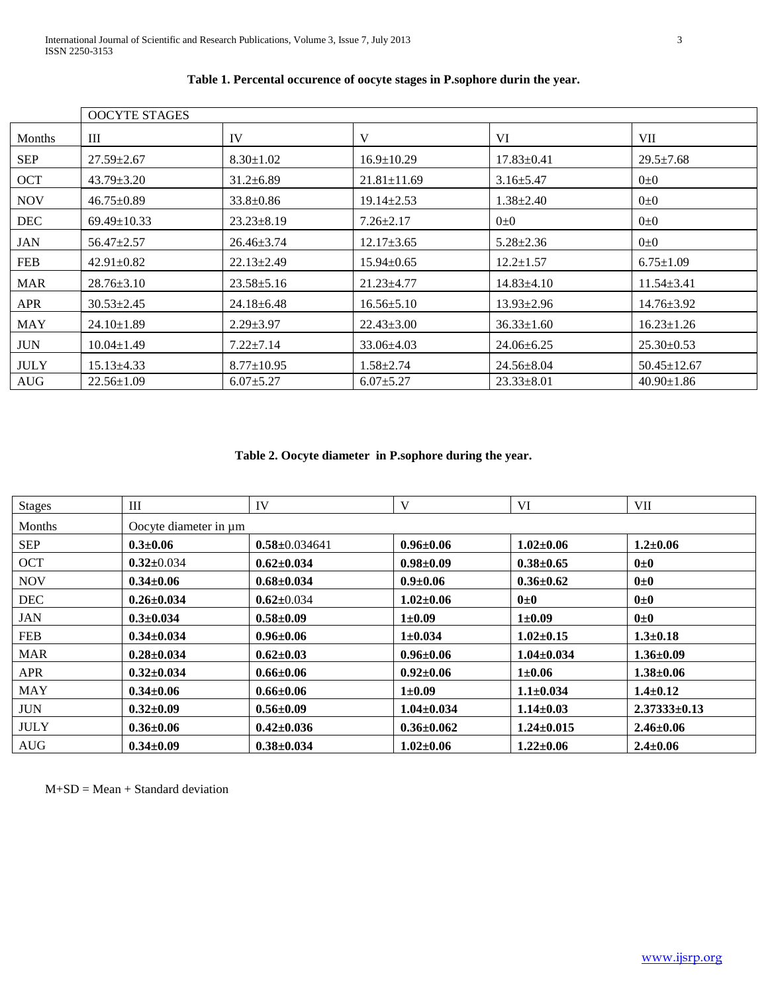|               | <b>OOCYTE STAGES</b> |                  |                   |                  |                   |  |  |  |
|---------------|----------------------|------------------|-------------------|------------------|-------------------|--|--|--|
| <b>Months</b> | Ш                    | IV               | V                 | VI               | <b>VII</b>        |  |  |  |
| <b>SEP</b>    | $27.59 \pm 2.67$     | $8.30 \pm 1.02$  | $16.9 \pm 10.29$  | $17.83 \pm 0.41$ | $29.5 \pm 7.68$   |  |  |  |
| OCT           | $43.79 \pm 3.20$     | $31.2 \pm 6.89$  | $21.81 \pm 11.69$ | $3.16 \pm 5.47$  | $0\pm 0$          |  |  |  |
| <b>NOV</b>    | $46.75 \pm 0.89$     | $33.8 \pm 0.86$  | $19.14 \pm 2.53$  | $1.38 \pm 2.40$  | $0\pm 0$          |  |  |  |
| <b>DEC</b>    | $69.49 \pm 10.33$    | $23.23 \pm 8.19$ | $7.26 \pm 2.17$   | $0\pm 0$         | $0\pm 0$          |  |  |  |
| <b>JAN</b>    | $56.47 \pm 2.57$     | $26.46 \pm 3.74$ | $12.17 \pm 3.65$  | $5.28 \pm 2.36$  | $0\pm 0$          |  |  |  |
| <b>FEB</b>    | $42.91 \pm 0.82$     | $22.13 \pm 2.49$ | 15.94±0.65        | $12.2 \pm 1.57$  | $6.75 \pm 1.09$   |  |  |  |
| <b>MAR</b>    | $28.76 \pm 3.10$     | $23.58 \pm 5.16$ | $21.23 \pm 4.77$  | $14.83{\pm}4.10$ | $11.54 \pm 3.41$  |  |  |  |
| <b>APR</b>    | $30.53 \pm 2.45$     | $24.18 \pm 6.48$ | $16.56 \pm 5.10$  | $13.93 \pm 2.96$ | $14.76 \pm 3.92$  |  |  |  |
| <b>MAY</b>    | $24.10 \pm 1.89$     | $2.29 \pm 3.97$  | $22.43 \pm 3.00$  | $36.33 \pm 1.60$ | $16.23 \pm 1.26$  |  |  |  |
| <b>JUN</b>    | $10.04 \pm 1.49$     | $7.22 \pm 7.14$  | $33.06 \pm 4.03$  | $24.06 \pm 6.25$ | $25.30 \pm 0.53$  |  |  |  |
| <b>JULY</b>   | $15.13\pm4.33$       | $8.77 \pm 10.95$ | $1.58 \pm 2.74$   | $24.56 \pm 8.04$ | $50.45 \pm 12.67$ |  |  |  |
| <b>AUG</b>    | $22.56 \pm 1.09$     | $6.07 \pm 5.27$  | $6.07 \pm 5.27$   | $23.33 \pm 8.01$ | $40.90 \pm 1.86$  |  |  |  |

## **Table 1. Percental occurence of oocyte stages in P.sophore durin the year.**

**Table 2. Oocyte diameter in P.sophore during the year.**

| Stages      | Ш                     | IV                  | V                | VI               | VII                |  |  |  |
|-------------|-----------------------|---------------------|------------------|------------------|--------------------|--|--|--|
| Months      | Oocyte diameter in µm |                     |                  |                  |                    |  |  |  |
| <b>SEP</b>  | $0.3 \pm 0.06$        | $0.58 \pm 0.034641$ | $0.96 \pm 0.06$  | $1.02 \pm 0.06$  | $1.2 \pm 0.06$     |  |  |  |
| <b>OCT</b>  | $0.32 \pm 0.034$      | $0.62 \pm 0.034$    | $0.98 \pm 0.09$  | $0.38 + 0.65$    | $0\pm 0$           |  |  |  |
| <b>NOV</b>  | $0.34 \pm 0.06$       | $0.68 \pm 0.034$    | $0.9 \pm 0.06$   | $0.36 \pm 0.62$  | $0\pm 0$           |  |  |  |
| <b>DEC</b>  | $0.26 \pm 0.034$      | $0.62 \pm 0.034$    | $1.02 \pm 0.06$  | $0\pm 0$         | $0\pm 0$           |  |  |  |
| JAN         | $0.3 \pm 0.034$       | $0.58 \pm 0.09$     | $1 \pm 0.09$     | $1 \pm 0.09$     | $0\pm 0$           |  |  |  |
| <b>FEB</b>  | $0.34 \pm 0.034$      | $0.96 \pm 0.06$     | $1 \pm 0.034$    | $1.02 \pm 0.15$  | $1.3 \pm 0.18$     |  |  |  |
| <b>MAR</b>  | $0.28 \pm 0.034$      | $0.62{\pm}0.03$     | $0.96 \pm 0.06$  | $1.04 \pm 0.034$ | $1.36 \pm 0.09$    |  |  |  |
| <b>APR</b>  | $0.32 \pm 0.034$      | $0.66 \pm 0.06$     | $0.92 \pm 0.06$  | $1 \pm 0.06$     | $1.38 \pm 0.06$    |  |  |  |
| <b>MAY</b>  | $0.34 \pm 0.06$       | $0.66 \pm 0.06$     | $1 \pm 0.09$     | $1.1 \pm 0.034$  | $1.4 \pm 0.12$     |  |  |  |
| <b>JUN</b>  | $0.32{\pm}0.09$       | $0.56 \pm 0.09$     | $1.04 \pm 0.034$ | $1.14 \pm 0.03$  | $2.37333 \pm 0.13$ |  |  |  |
| <b>JULY</b> | $0.36 \pm 0.06$       | $0.42{\pm}0.036$    | $0.36 \pm 0.062$ | $1.24 \pm 0.015$ | $2.46 \pm 0.06$    |  |  |  |
| <b>AUG</b>  | $0.34 \pm 0.09$       | $0.38 \pm 0.034$    | $1.02 \pm 0.06$  | $1.22 \pm 0.06$  | $2.4 \pm 0.06$     |  |  |  |

M+SD = Mean + Standard deviation